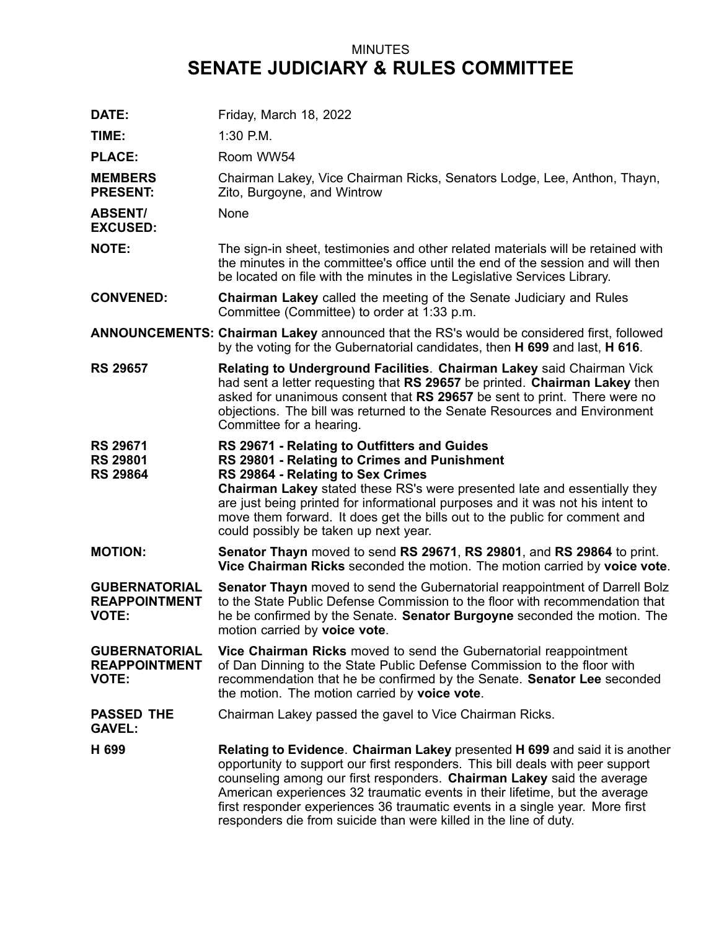## MINUTES **SENATE JUDICIARY & RULES COMMITTEE**

| DATE:                                                        | Friday, March 18, 2022                                                                                                                                                                                                                                                                                                                                                                                                                                                      |
|--------------------------------------------------------------|-----------------------------------------------------------------------------------------------------------------------------------------------------------------------------------------------------------------------------------------------------------------------------------------------------------------------------------------------------------------------------------------------------------------------------------------------------------------------------|
| TIME:                                                        | 1:30 P.M.                                                                                                                                                                                                                                                                                                                                                                                                                                                                   |
| <b>PLACE:</b>                                                | Room WW54                                                                                                                                                                                                                                                                                                                                                                                                                                                                   |
| <b>MEMBERS</b><br><b>PRESENT:</b>                            | Chairman Lakey, Vice Chairman Ricks, Senators Lodge, Lee, Anthon, Thayn,<br>Zito, Burgoyne, and Wintrow                                                                                                                                                                                                                                                                                                                                                                     |
| <b>ABSENT/</b><br><b>EXCUSED:</b>                            | None                                                                                                                                                                                                                                                                                                                                                                                                                                                                        |
| <b>NOTE:</b>                                                 | The sign-in sheet, testimonies and other related materials will be retained with<br>the minutes in the committee's office until the end of the session and will then<br>be located on file with the minutes in the Legislative Services Library.                                                                                                                                                                                                                            |
| <b>CONVENED:</b>                                             | <b>Chairman Lakey</b> called the meeting of the Senate Judiciary and Rules<br>Committee (Committee) to order at 1:33 p.m.                                                                                                                                                                                                                                                                                                                                                   |
|                                                              | <b>ANNOUNCEMENTS: Chairman Lakey</b> announced that the RS's would be considered first, followed<br>by the voting for the Gubernatorial candidates, then H 699 and last, H 616.                                                                                                                                                                                                                                                                                             |
| <b>RS 29657</b>                                              | Relating to Underground Facilities. Chairman Lakey said Chairman Vick<br>had sent a letter requesting that RS 29657 be printed. Chairman Lakey then<br>asked for unanimous consent that RS 29657 be sent to print. There were no<br>objections. The bill was returned to the Senate Resources and Environment<br>Committee for a hearing.                                                                                                                                   |
| <b>RS 29671</b><br><b>RS 29801</b><br><b>RS 29864</b>        | RS 29671 - Relating to Outfitters and Guides<br>RS 29801 - Relating to Crimes and Punishment<br>RS 29864 - Relating to Sex Crimes<br>Chairman Lakey stated these RS's were presented late and essentially they<br>are just being printed for informational purposes and it was not his intent to<br>move them forward. It does get the bills out to the public for comment and<br>could possibly be taken up next year.                                                     |
| <b>MOTION:</b>                                               | Senator Thayn moved to send RS 29671, RS 29801, and RS 29864 to print.<br>Vice Chairman Ricks seconded the motion. The motion carried by voice vote.                                                                                                                                                                                                                                                                                                                        |
| <b>GUBERNATORIAL</b><br><b>REAPPOINTMENT</b><br><b>VOTE:</b> | Senator Thayn moved to send the Gubernatorial reappointment of Darrell Bolz<br>to the State Public Defense Commission to the floor with recommendation that<br>he be confirmed by the Senate. Senator Burgoyne seconded the motion. The<br>motion carried by voice vote.                                                                                                                                                                                                    |
| <b>GUBERNATORIAL</b><br><b>REAPPOINTMENT</b><br><b>VOTE:</b> | Vice Chairman Ricks moved to send the Gubernatorial reappointment<br>of Dan Dinning to the State Public Defense Commission to the floor with<br>recommendation that he be confirmed by the Senate. Senator Lee seconded<br>the motion. The motion carried by voice vote.                                                                                                                                                                                                    |
| <b>PASSED THE</b><br><b>GAVEL:</b>                           | Chairman Lakey passed the gavel to Vice Chairman Ricks.                                                                                                                                                                                                                                                                                                                                                                                                                     |
| H 699                                                        | Relating to Evidence. Chairman Lakey presented H 699 and said it is another<br>opportunity to support our first responders. This bill deals with peer support<br>counseling among our first responders. Chairman Lakey said the average<br>American experiences 32 traumatic events in their lifetime, but the average<br>first responder experiences 36 traumatic events in a single year. More first<br>responders die from suicide than were killed in the line of duty. |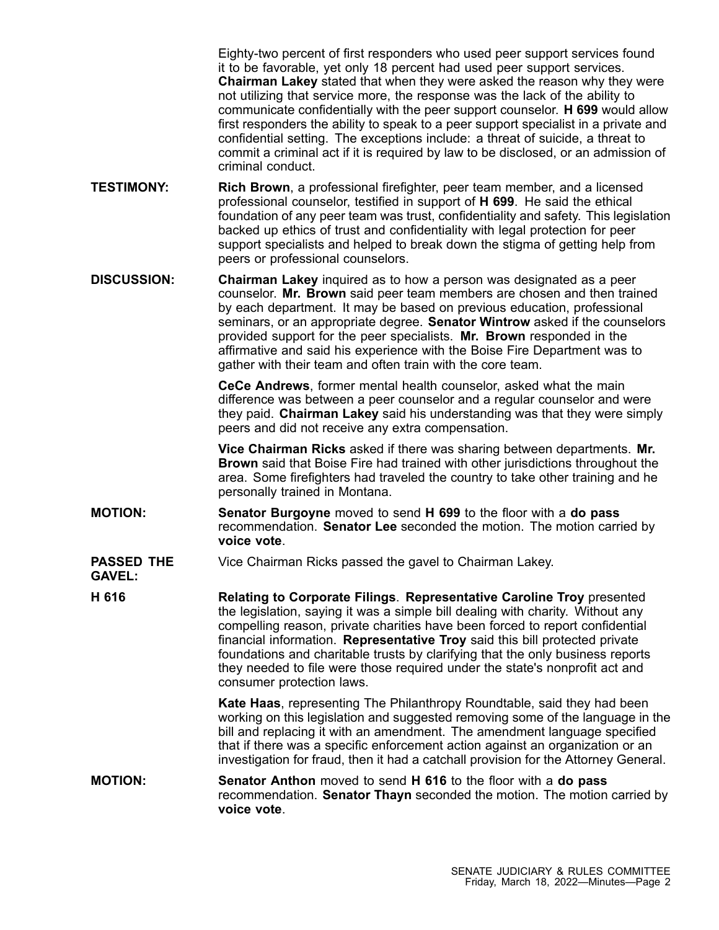Eighty-two percent of first responders who used peer support services found it to be favorable, yet only 18 percent had used peer support services. **Chairman Lakey** stated that when they were asked the reason why they were not utilizing that service more, the response was the lack of the ability to communicate confidentially with the peer support counselor. **H 699** would allow first responders the ability to speak to <sup>a</sup> peer support specialist in <sup>a</sup> private and confidential setting. The exceptions include: <sup>a</sup> threat of suicide, <sup>a</sup> threat to commit <sup>a</sup> criminal act if it is required by law to be disclosed, or an admission of criminal conduct.

- **TESTIMONY: Rich Brown**, <sup>a</sup> professional firefighter, peer team member, and <sup>a</sup> licensed professional counselor, testified in support of **H 699**. He said the ethical foundation of any peer team was trust, confidentiality and safety. This legislation backed up ethics of trust and confidentiality with legal protection for peer support specialists and helped to break down the stigma of getting help from peers or professional counselors.
- **DISCUSSION: Chairman Lakey** inquired as to how <sup>a</sup> person was designated as <sup>a</sup> peer counselor. **Mr. Brown** said peer team members are chosen and then trained by each department. It may be based on previous education, professional seminars, or an appropriate degree. **Senator Wintrow** asked if the counselors provided support for the peer specialists. **Mr. Brown** responded in the affirmative and said his experience with the Boise Fire Department was to gather with their team and often train with the core team.

**CeCe Andrews**, former mental health counselor, asked what the main difference was between <sup>a</sup> peer counselor and <sup>a</sup> regular counselor and were they paid. **Chairman Lakey** said his understanding was that they were simply peers and did not receive any extra compensation.

**Vice Chairman Ricks** asked if there was sharing between departments. **Mr. Brown** said that Boise Fire had trained with other jurisdictions throughout the area. Some firefighters had traveled the country to take other training and he personally trained in Montana.

- **MOTION: Senator Burgoyne** moved to send **H 699** to the floor with <sup>a</sup> **do pass** recommendation. **Senator Lee** seconded the motion. The motion carried by **voice vote**.
- **PASSED THE GAVEL:** Vice Chairman Ricks passed the gavel to Chairman Lakey.

**H 616 Relating to Corporate Filings**. **Representative Caroline Troy** presented the legislation, saying it was <sup>a</sup> simple bill dealing with charity. Without any compelling reason, private charities have been forced to report confidential financial information. **Representative Troy** said this bill protected private foundations and charitable trusts by clarifying that the only business reports they needed to file were those required under the state's nonprofit act and consumer protection laws.

**Kate Haas**, representing The Philanthropy Roundtable, said they had been working on this legislation and suggested removing some of the language in the bill and replacing it with an amendment. The amendment language specified that if there was <sup>a</sup> specific enforcement action against an organization or an investigation for fraud, then it had <sup>a</sup> catchall provision for the Attorney General.

**MOTION: Senator Anthon** moved to send **H 616** to the floor with <sup>a</sup> **do pass** recommendation. **Senator Thayn** seconded the motion. The motion carried by **voice vote**.